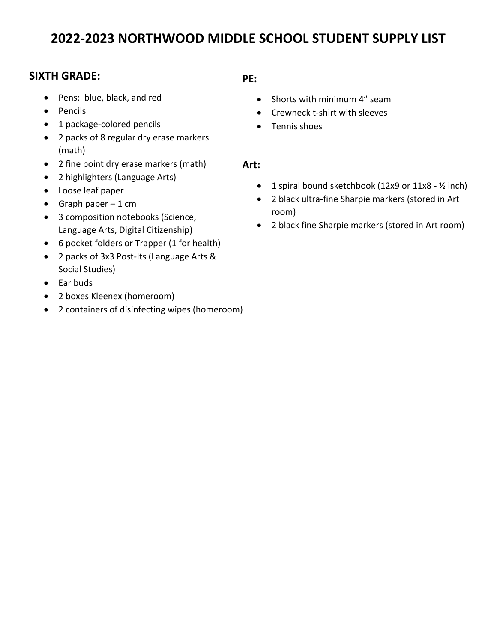# **2022-2023 NORTHWOOD MIDDLE SCHOOL STUDENT SUPPLY LIST**

## **SIXTH GRADE:**

- Pens: blue, black, and red
- Pencils
- 1 package-colored pencils
- 2 packs of 8 regular dry erase markers (math)
- 2 fine point dry erase markers (math)
- 2 highlighters (Language Arts)
- Loose leaf paper
- Graph paper  $-1$  cm
- 3 composition notebooks (Science, Language Arts, Digital Citizenship)
- 6 pocket folders or Trapper (1 for health)
- 2 packs of 3x3 Post-Its (Language Arts & Social Studies)
- Ear buds
- 2 boxes Kleenex (homeroom)
- 2 containers of disinfecting wipes (homeroom)

### **PE:**

- Shorts with minimum 4" seam
- Crewneck t-shirt with sleeves
- Tennis shoes

### **Art:**

- 1 spiral bound sketchbook (12x9 or 11x8 1/2 inch)
- 2 black ultra-fine Sharpie markers (stored in Art room)
- 2 black fine Sharpie markers (stored in Art room)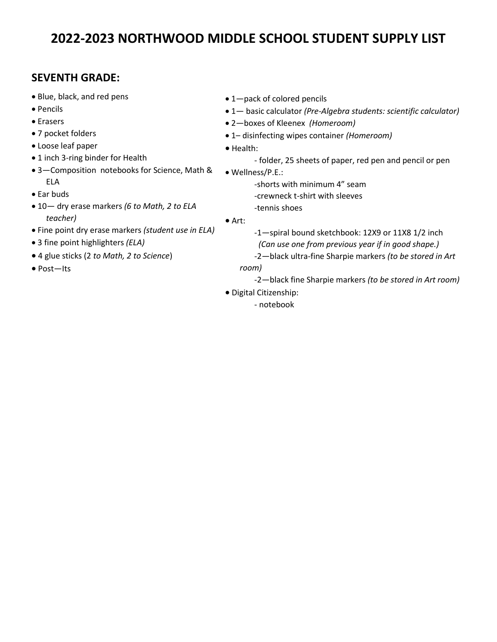# **2022-2023 NORTHWOOD MIDDLE SCHOOL STUDENT SUPPLY LIST**

## **SEVENTH GRADE:**

- Blue, black, and red pens
- Pencils
- Erasers
- 7 pocket folders
- Loose leaf paper
- 1 inch 3-ring binder for Health
- 3—Composition notebooks for Science, Math & ELA
- Ear buds
- 10— dry erase markers *(6 to Math, 2 to ELA teacher)*
- Fine point dry erase markers *(student use in ELA)*
- 3 fine point highlighters *(ELA)*
- 4 glue sticks (2 *to Math, 2 to Science*)
- Post—Its
- 1-pack of colored pencils
- 1— basic calculator *(Pre-Algebra students: scientific calculator)*
- 2—boxes of Kleenex *(Homeroom)*
- 1– disinfecting wipes container *(Homeroom)*
- Health:
	- folder, 25 sheets of paper, red pen and pencil or pen

• Wellness/P.E.:

-shorts with minimum 4" seam -crewneck t-shirt with sleeves -tennis shoes

• Art:

-1—spiral bound sketchbook: 12X9 or 11X8 1/2 inch  *(Can use one from previous year if in good shape.)*

- *-*2—black ultra-fine Sharpie markers *(to be stored in Art room)* 
	- -2—black fine Sharpie markers *(to be stored in Art room)*
- Digital Citizenship:
	- notebook